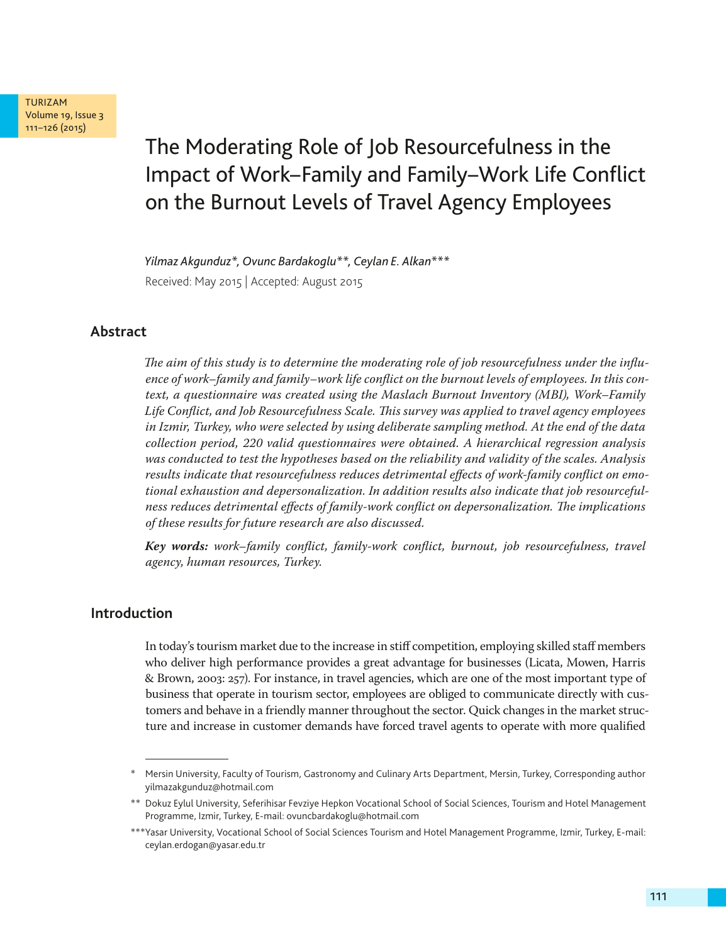

# The Moderating Role of Job Resourcefulness in the Impact of Work–Family and Family–Work Life Conflict on the Burnout Levels of Travel Agency Employees

*Yilmaz Akgunduz\*, Ovunc Bardakoglu\*\*, Ceylan E. Alkan\*\*\** Received: May 2015 | Accepted: August 2015

# **Abstract**

*The aim of this study is to determine the moderating role of job resourcefulness under the influence of work–family and family–work life conflict on the burnout levels of employees. In this context, a questionnaire was created using the Maslach Burnout Inventory (MBI), Work–Family Life Conflict, and Job Resourcefulness Scale. This survey was applied to travel agency employees in Izmir, Turkey, who were selected by using deliberate sampling method. At the end of the data collection period, 220 valid questionnaires were obtained. A hierarchical regression analysis was conducted to test the hypotheses based on the reliability and validity of the scales. Analysis results indicate that resourcefulness reduces detrimental effects of work-family conflict on emotional exhaustion and depersonalization. In addition results also indicate that job resourcefulness reduces detrimental effects of family-work conflict on depersonalization. The implications of these results for future research are also discussed.* 

*Key words: work–family conflict, family-work conflict, burnout, job resourcefulness, travel agency, human resources, Turkey.*

# **Introduction**

In today's tourism market due to the increase in stiff competition, employing skilled staff members who deliver high performance provides a great advantage for businesses (Licata, Mowen, Harris & Brown, 2003: 257). For instance, in travel agencies, which are one of the most important type of business that operate in tourism sector, employees are obliged to communicate directly with customers and behave in a friendly manner throughout the sector. Quick changes in the market structure and increase in customer demands have forced travel agents to operate with more qualified

Mersin University, Faculty of Tourism, Gastronomy and Culinary Arts Department, Mersin, Turkey, Corresponding author yilmazakgunduz@hotmail.com

<sup>\*\*</sup> Dokuz Eylul University, Seferihisar Fevziye Hepkon Vocational School of Social Sciences, Tourism and Hotel Management Programme, Izmir, Turkey, E-mail: ovuncbardakoglu@hotmail.com

<sup>\*\*\*</sup>Yasar University, Vocational School of Social Sciences Tourism and Hotel Management Programme, Izmir, Turkey, E-mail: ceylan.erdogan@yasar.edu.tr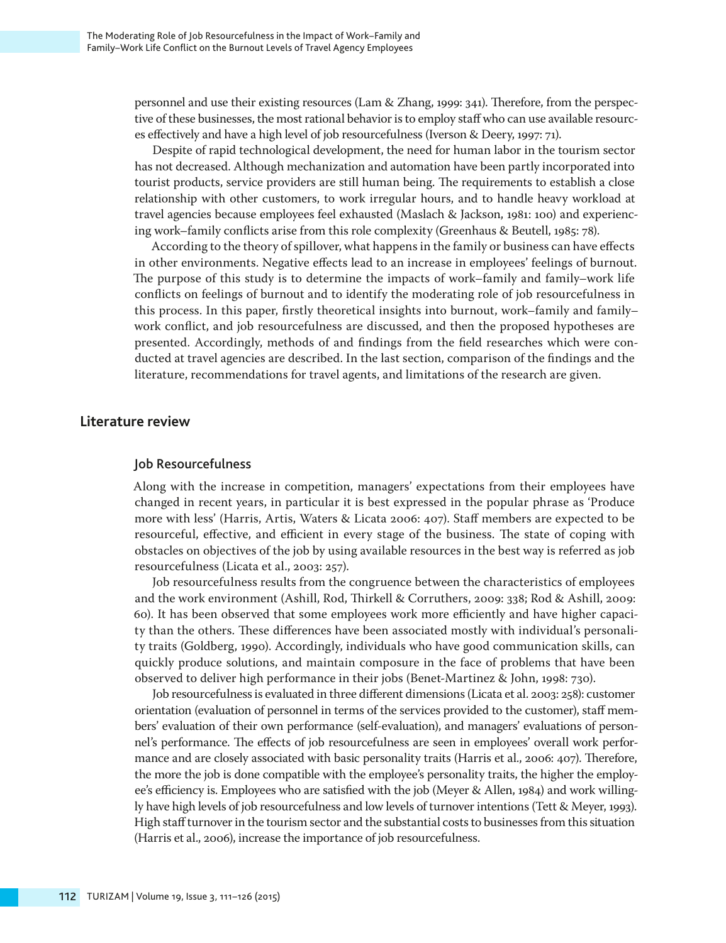personnel and use their existing resources (Lam & Zhang, 1999: 341). Therefore, from the perspective of these businesses, the most rational behavior is to employ staff who can use available resources effectively and have a high level of job resourcefulness (Iverson & Deery, 1997: 71).

Despite of rapid technological development, the need for human labor in the tourism sector has not decreased. Although mechanization and automation have been partly incorporated into tourist products, service providers are still human being. The requirements to establish a close relationship with other customers, to work irregular hours, and to handle heavy workload at travel agencies because employees feel exhausted (Maslach & Jackson, 1981: 100) and experiencing work–family conflicts arise from this role complexity (Greenhaus & Beutell, 1985: 78).

According to the theory of spillover, what happens in the family or business can have effects in other environments. Negative effects lead to an increase in employees' feelings of burnout. The purpose of this study is to determine the impacts of work–family and family–work life conflicts on feelings of burnout and to identify the moderating role of job resourcefulness in this process. In this paper, firstly theoretical insights into burnout, work–family and family– work conflict, and job resourcefulness are discussed, and then the proposed hypotheses are presented. Accordingly, methods of and findings from the field researches which were conducted at travel agencies are described. In the last section, comparison of the findings and the literature, recommendations for travel agents, and limitations of the research are given.

## **Literature review**

## Job Resourcefulness

Along with the increase in competition, managers' expectations from their employees have changed in recent years, in particular it is best expressed in the popular phrase as 'Produce more with less' (Harris, Artis, Waters & Licata 2006: 407). Staff members are expected to be resourceful, effective, and efficient in every stage of the business. The state of coping with obstacles on objectives of the job by using available resources in the best way is referred as job resourcefulness (Licata et al., 2003: 257).

Job resourcefulness results from the congruence between the characteristics of employees and the work environment (Ashill, Rod, Thirkell & Corruthers, 2009: 338; Rod & Ashill, 2009: 60). It has been observed that some employees work more efficiently and have higher capacity than the others. These differences have been associated mostly with individual's personality traits (Goldberg, 1990). Accordingly, individuals who have good communication skills, can quickly produce solutions, and maintain composure in the face of problems that have been observed to deliver high performance in their jobs (Benet-Martinez & John, 1998: 730).

Job resourcefulness is evaluated in three different dimensions (Licata et al. 2003: 258): customer orientation (evaluation of personnel in terms of the services provided to the customer), staff members' evaluation of their own performance (self-evaluation), and managers' evaluations of personnel's performance. The effects of job resourcefulness are seen in employees' overall work performance and are closely associated with basic personality traits (Harris et al., 2006: 407). Therefore, the more the job is done compatible with the employee's personality traits, the higher the employee's efficiency is. Employees who are satisfied with the job (Meyer & Allen, 1984) and work willingly have high levels of job resourcefulness and low levels of turnover intentions (Tett & Meyer, 1993). High staff turnover in the tourism sector and the substantial costs to businesses from this situation (Harris et al., 2006), increase the importance of job resourcefulness.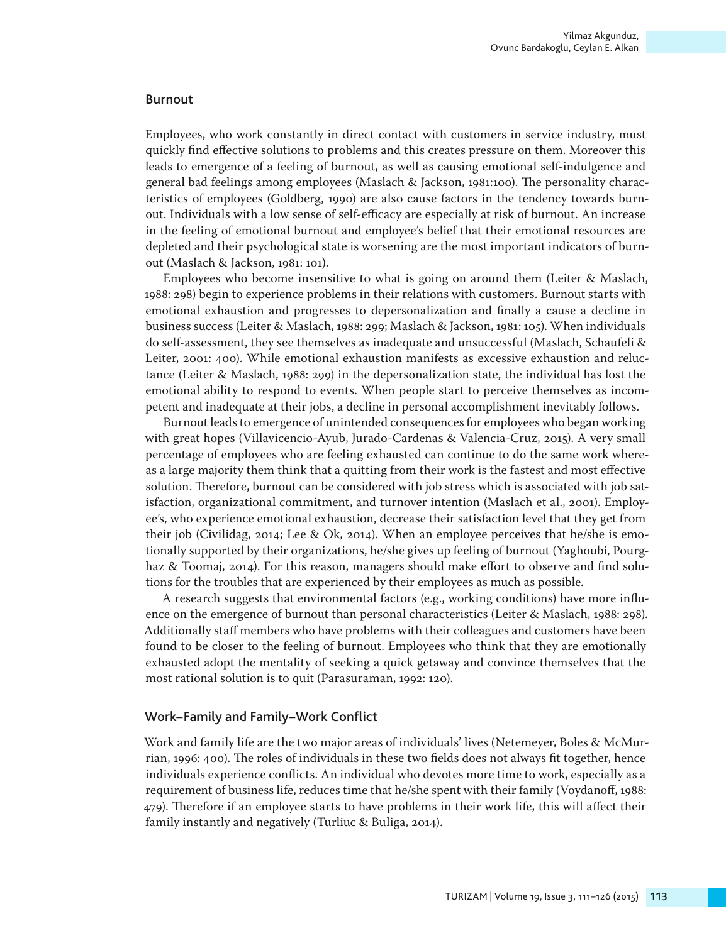#### **Burnout**

Employees, who work constantly in direct contact with customers in service industry, must quickly find effective solutions to problems and this creates pressure on them. Moreover this leads to emergence of a feeling of burnout, as well as causing emotional self-indulgence and general bad feelings among employees (Maslach & Jackson, 1981:100). The personality characteristics of employees (Goldberg, 1990) are also cause factors in the tendency towards burnout. Individuals with a low sense of self-efficacy are especially at risk of burnout. An increase in the feeling of emotional burnout and employee's belief that their emotional resources are depleted and their psychological state is worsening are the most important indicators of burnout (Maslach & Jackson, 1981: 101).

Employees who become insensitive to what is going on around them (Leiter & Maslach, 1988: 298) begin to experience problems in their relations with customers. Burnout starts with emotional exhaustion and progresses to depersonalization and finally a cause a decline in business success (Leiter & Maslach, 1988: 299; Maslach & Jackson, 1981: 105). When individuals do self-assessment, they see themselves as inadequate and unsuccessful (Maslach, Schaufeli & Leiter, 2001: 400). While emotional exhaustion manifests as excessive exhaustion and reluctance (Leiter & Maslach, 1988: 299) in the depersonalization state, the individual has lost the emotional ability to respond to events. When people start to perceive themselves as incompetent and inadequate at their jobs, a decline in personal accomplishment inevitably follows.

Burnout leads to emergence of unintended consequences for employees who began working with great hopes (Villavicencio-Ayub, Jurado-Cardenas & Valencia-Cruz, 2015). A very small percentage of employees who are feeling exhausted can continue to do the same work whereas a large majority them think that a quitting from their work is the fastest and most effective solution. Therefore, burnout can be considered with job stress which is associated with job satisfaction, organizational commitment, and turnover intention (Maslach et al., 2001). Employee's, who experience emotional exhaustion, decrease their satisfaction level that they get from their job (Civilidag, 2014; Lee & Ok, 2014). When an employee perceives that he/she is emotionally supported by their organizations, he/she gives up feeling of burnout (Yaghoubi, Pourghaz & Toomaj, 2014). For this reason, managers should make effort to observe and find solutions for the troubles that are experienced by their employees as much as possible.

A research suggests that environmental factors (e.g., working conditions) have more influence on the emergence of burnout than personal characteristics (Leiter & Maslach, 1988: 298). Additionally staff members who have problems with their colleagues and customers have been found to be closer to the feeling of burnout. Employees who think that they are emotionally exhausted adopt the mentality of seeking a quick getaway and convince themselves that the most rational solution is to quit (Parasuraman, 1992: 120).

## Work–Family and Family–Work Conflict

Work and family life are the two major areas of individuals' lives (Netemeyer, Boles & McMurrian, 1996: 400). The roles of individuals in these two fields does not always fit together, hence individuals experience conflicts. An individual who devotes more time to work, especially as a requirement of business life, reduces time that he/she spent with their family (Voydanoff, 1988: 479). Therefore if an employee starts to have problems in their work life, this will affect their family instantly and negatively (Turliuc & Buliga, 2014).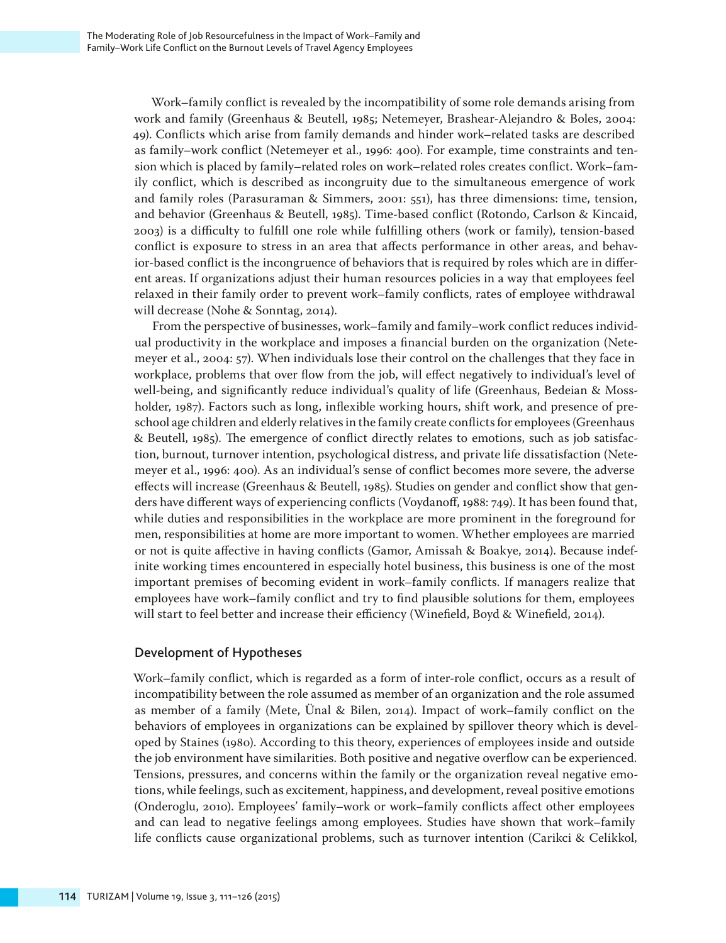Work–family conflict is revealed by the incompatibility of some role demands arising from work and family (Greenhaus & Beutell, 1985; Netemeyer, Brashear-Alejandro & Boles, 2004: 49). Conflicts which arise from family demands and hinder work–related tasks are described as family–work conflict (Netemeyer et al., 1996: 400). For example, time constraints and tension which is placed by family–related roles on work–related roles creates conflict. Work–family conflict, which is described as incongruity due to the simultaneous emergence of work and family roles (Parasuraman & Simmers, 2001: 551), has three dimensions: time, tension, and behavior (Greenhaus & Beutell, 1985). Time-based conflict (Rotondo, Carlson & Kincaid, 2003) is a difficulty to fulfill one role while fulfilling others (work or family), tension-based conflict is exposure to stress in an area that affects performance in other areas, and behavior-based conflict is the incongruence of behaviors that is required by roles which are in different areas. If organizations adjust their human resources policies in a way that employees feel relaxed in their family order to prevent work–family conflicts, rates of employee withdrawal will decrease (Nohe & Sonntag, 2014).

From the perspective of businesses, work–family and family–work conflict reduces individual productivity in the workplace and imposes a financial burden on the organization (Netemeyer et al., 2004: 57). When individuals lose their control on the challenges that they face in workplace, problems that over flow from the job, will effect negatively to individual's level of well-being, and significantly reduce individual's quality of life (Greenhaus, Bedeian & Mossholder, 1987). Factors such as long, inflexible working hours, shift work, and presence of preschool age children and elderly relatives in the family create conflicts for employees (Greenhaus & Beutell, 1985). The emergence of conflict directly relates to emotions, such as job satisfaction, burnout, turnover intention, psychological distress, and private life dissatisfaction (Netemeyer et al., 1996: 400). As an individual's sense of conflict becomes more severe, the adverse effects will increase (Greenhaus & Beutell, 1985). Studies on gender and conflict show that genders have different ways of experiencing conflicts (Voydanoff, 1988: 749). It has been found that, while duties and responsibilities in the workplace are more prominent in the foreground for men, responsibilities at home are more important to women. Whether employees are married or not is quite affective in having conflicts (Gamor, Amissah & Boakye, 2014). Because indefinite working times encountered in especially hotel business, this business is one of the most important premises of becoming evident in work–family conflicts. If managers realize that employees have work–family conflict and try to find plausible solutions for them, employees will start to feel better and increase their efficiency (Winefield, Boyd & Winefield, 2014).

# Development of Hypotheses

Work–family conflict, which is regarded as a form of inter-role conflict, occurs as a result of incompatibility between the role assumed as member of an organization and the role assumed as member of a family (Mete, Ünal & Bilen, 2014). Impact of work–family conflict on the behaviors of employees in organizations can be explained by spillover theory which is developed by Staines (1980). According to this theory, experiences of employees inside and outside the job environment have similarities. Both positive and negative overflow can be experienced. Tensions, pressures, and concerns within the family or the organization reveal negative emotions, while feelings, such as excitement, happiness, and development, reveal positive emotions (Onderoglu, 2010). Employees' family–work or work–family conflicts affect other employees and can lead to negative feelings among employees. Studies have shown that work–family life conflicts cause organizational problems, such as turnover intention (Carikci & Celikkol,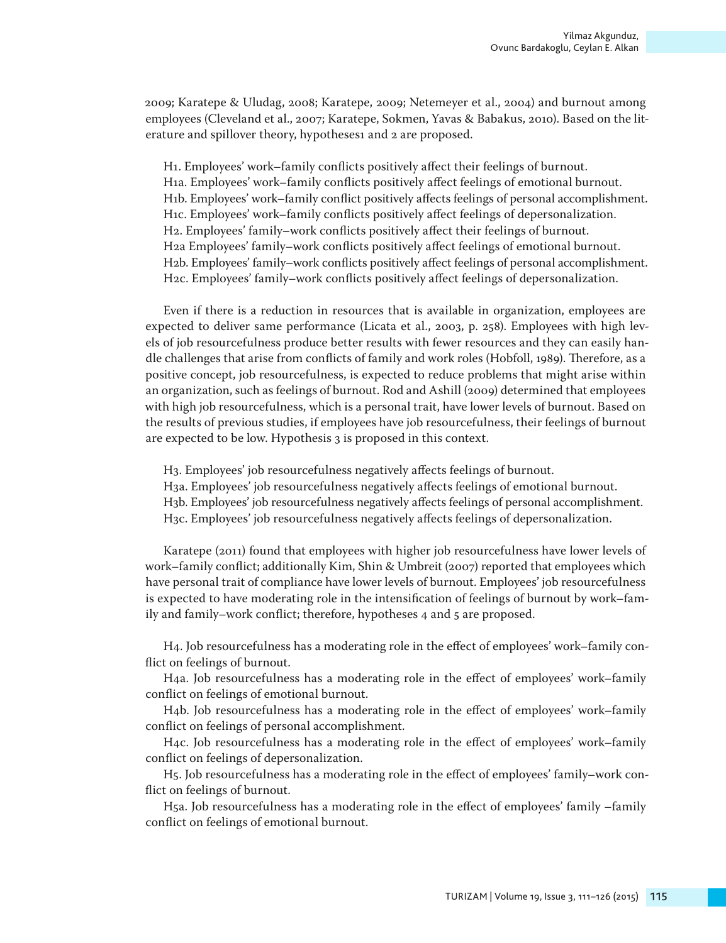2009; Karatepe & Uludag, 2008; Karatepe, 2009; Netemeyer et al., 2004) and burnout among employees (Cleveland et al., 2007; Karatepe, Sokmen, Yavas & Babakus, 2010). Based on the literature and spillover theory, hypotheses1 and 2 are proposed.

H1. Employees' work–family conflicts positively affect their feelings of burnout. H1a. Employees' work–family conflicts positively affect feelings of emotional burnout. H1b. Employees' work–family conflict positively affects feelings of personal accomplishment. H1c. Employees' work–family conflicts positively affect feelings of depersonalization. H2. Employees' family–work conflicts positively affect their feelings of burnout. H2a Employees' family–work conflicts positively affect feelings of emotional burnout. H2b. Employees' family–work conflicts positively affect feelings of personal accomplishment. H2c. Employees' family–work conflicts positively affect feelings of depersonalization.

Even if there is a reduction in resources that is available in organization, employees are expected to deliver same performance (Licata et al., 2003, p. 258). Employees with high levels of job resourcefulness produce better results with fewer resources and they can easily handle challenges that arise from conflicts of family and work roles (Hobfoll, 1989). Therefore, as a positive concept, job resourcefulness, is expected to reduce problems that might arise within an organization, such as feelings of burnout. Rod and Ashill (2009) determined that employees with high job resourcefulness, which is a personal trait, have lower levels of burnout. Based on the results of previous studies, if employees have job resourcefulness, their feelings of burnout are expected to be low. Hypothesis 3 is proposed in this context.

H3. Employees' job resourcefulness negatively affects feelings of burnout. H3a. Employees' job resourcefulness negatively affects feelings of emotional burnout. H3b. Employees' job resourcefulness negatively affects feelings of personal accomplishment. H3c. Employees' job resourcefulness negatively affects feelings of depersonalization.

Karatepe (2011) found that employees with higher job resourcefulness have lower levels of work–family conflict; additionally Kim, Shin & Umbreit (2007) reported that employees which have personal trait of compliance have lower levels of burnout. Employees' job resourcefulness is expected to have moderating role in the intensification of feelings of burnout by work–family and family–work conflict; therefore, hypotheses 4 and 5 are proposed.

H4. Job resourcefulness has a moderating role in the effect of employees' work–family conflict on feelings of burnout.

H4a. Job resourcefulness has a moderating role in the effect of employees' work–family conflict on feelings of emotional burnout.

H4b. Job resourcefulness has a moderating role in the effect of employees' work–family conflict on feelings of personal accomplishment.

H4c. Job resourcefulness has a moderating role in the effect of employees' work–family conflict on feelings of depersonalization.

H5. Job resourcefulness has a moderating role in the effect of employees' family–work conflict on feelings of burnout.

H5a. Job resourcefulness has a moderating role in the effect of employees' family –family conflict on feelings of emotional burnout.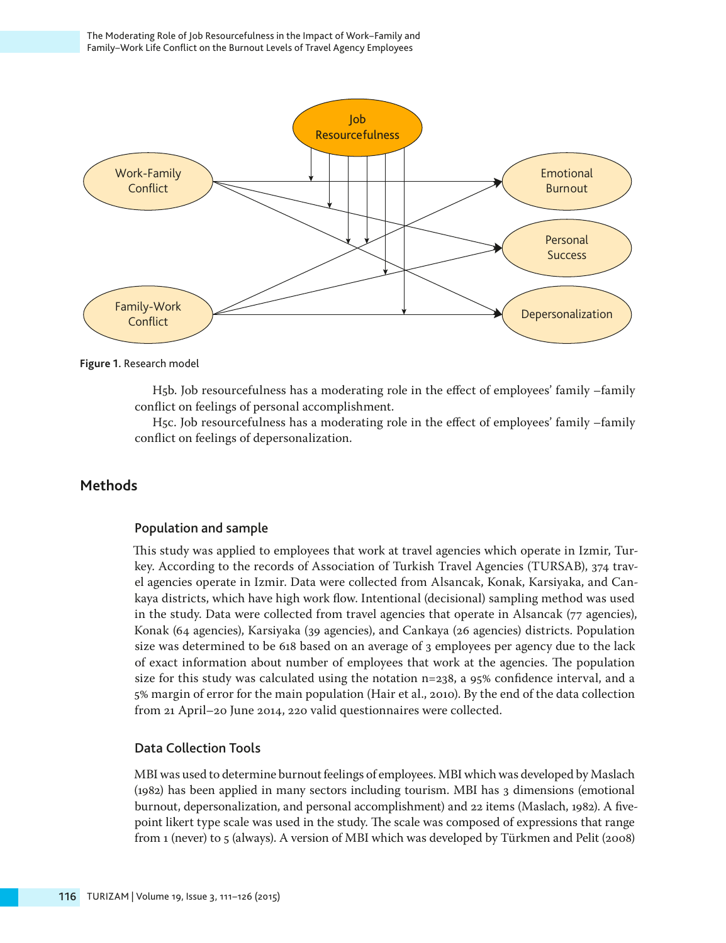

**Figure 1.** Research model

H5b. Job resourcefulness has a moderating role in the effect of employees' family –family conflict on feelings of personal accomplishment.

H5c. Job resourcefulness has a moderating role in the effect of employees' family –family conflict on feelings of depersonalization.

# **Methods**

## Population and sample

This study was applied to employees that work at travel agencies which operate in Izmir, Turkey. According to the records of Association of Turkish Travel Agencies (TURSAB), 374 travel agencies operate in Izmir. Data were collected from Alsancak, Konak, Karsiyaka, and Cankaya districts, which have high work flow. Intentional (decisional) sampling method was used in the study. Data were collected from travel agencies that operate in Alsancak (77 agencies), Konak (64 agencies), Karsiyaka (39 agencies), and Cankaya (26 agencies) districts. Population size was determined to be 618 based on an average of 3 employees per agency due to the lack of exact information about number of employees that work at the agencies. The population size for this study was calculated using the notation n=238, a 95% confidence interval, and a 5% margin of error for the main population (Hair et al., 2010). By the end of the data collection from 21 April–20 June 2014, 220 valid questionnaires were collected.

# Data Collection Tools

MBI was used to determine burnout feelings of employees. MBI which was developed by Maslach (1982) has been applied in many sectors including tourism. MBI has 3 dimensions (emotional burnout, depersonalization, and personal accomplishment) and 22 items (Maslach, 1982). A fivepoint likert type scale was used in the study. The scale was composed of expressions that range from 1 (never) to 5 (always). A version of MBI which was developed by Türkmen and Pelit (2008)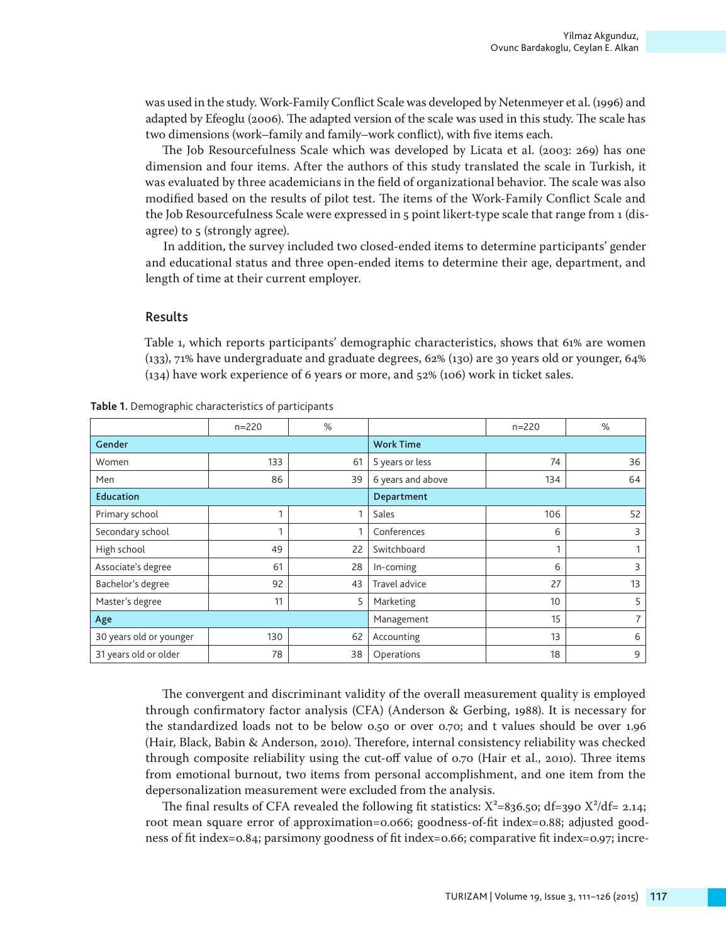was used in the study. Work-Family Conflict Scale was developed by Netenmeyer et al. (1996) and adapted by Efeoglu (2006). The adapted version of the scale was used in this study. The scale has two dimensions (work–family and family–work conflict), with five items each.

The Job Resourcefulness Scale which was developed by Licata et al. (2003: 269) has one dimension and four items. After the authors of this study translated the scale in Turkish, it was evaluated by three academicians in the field of organizational behavior. The scale was also modified based on the results of pilot test. The items of the Work-Family Conflict Scale and the Job Resourcefulness Scale were expressed in 5 point likert-type scale that range from 1 (disagree) to 5 (strongly agree).

In addition, the survey included two closed-ended items to determine participants' gender and educational status and three open-ended items to determine their age, department, and length of time at their current employer.

## Results

Table 1, which reports participants' demographic characteristics, shows that 61% are women (133), 71% have undergraduate and graduate degrees, 62% (130) are 30 years old or younger, 64% (134) have work experience of 6 years or more, and 52% (106) work in ticket sales.

|                         | $n = 220$ | $\%$ |                   | $n = 220$ | %  |  |  |
|-------------------------|-----------|------|-------------------|-----------|----|--|--|
| Gender                  |           |      | <b>Work Time</b>  |           |    |  |  |
| Women                   | 133       | 61   | 5 years or less   | 74        | 36 |  |  |
| Men                     | 86        | 39   | 6 years and above | 134       | 64 |  |  |
| <b>Education</b>        |           |      | Department        |           |    |  |  |
| Primary school          |           | 1    | Sales             | 106       | 52 |  |  |
| Secondary school        |           | 1    | Conferences       | 6         | 3  |  |  |
| High school             | 49        | 22   | Switchboard       |           | 1  |  |  |
| Associate's degree      | 61        | 28   | In-coming         | 6         | 3  |  |  |
| Bachelor's degree       | 92        | 43   | Travel advice     | 27        | 13 |  |  |
| Master's degree         | 11        | 5    | Marketing         | 10        | 5  |  |  |
| Age                     |           |      | Management        | 15        | 7  |  |  |
| 30 years old or younger | 130       | 62   | Accounting        | 13        | 6  |  |  |
| 31 years old or older   | 78        | 38   | Operations        | 18        | 9  |  |  |

**Table 1.** Demographic characteristics of participants

The convergent and discriminant validity of the overall measurement quality is employed through confirmatory factor analysis (CFA) (Anderson & Gerbing, 1988). It is necessary for the standardized loads not to be below 0.50 or over 0.70; and t values should be over 1.96 (Hair, Black, Babin & Anderson, 2010). Therefore, internal consistency reliability was checked through composite reliability using the cut-off value of 0.70 (Hair et al., 2010). Three items from emotional burnout, two items from personal accomplishment, and one item from the depersonalization measurement were excluded from the analysis.

The final results of CFA revealed the following fit statistics:  $X^2$ =836.50; df=390  $X^2$ /df= 2.14; root mean square error of approximation=0.066; goodness-of-fit index=0.88; adjusted goodness of fit index=0.84; parsimony goodness of fit index=0.66; comparative fit index=0.97; incre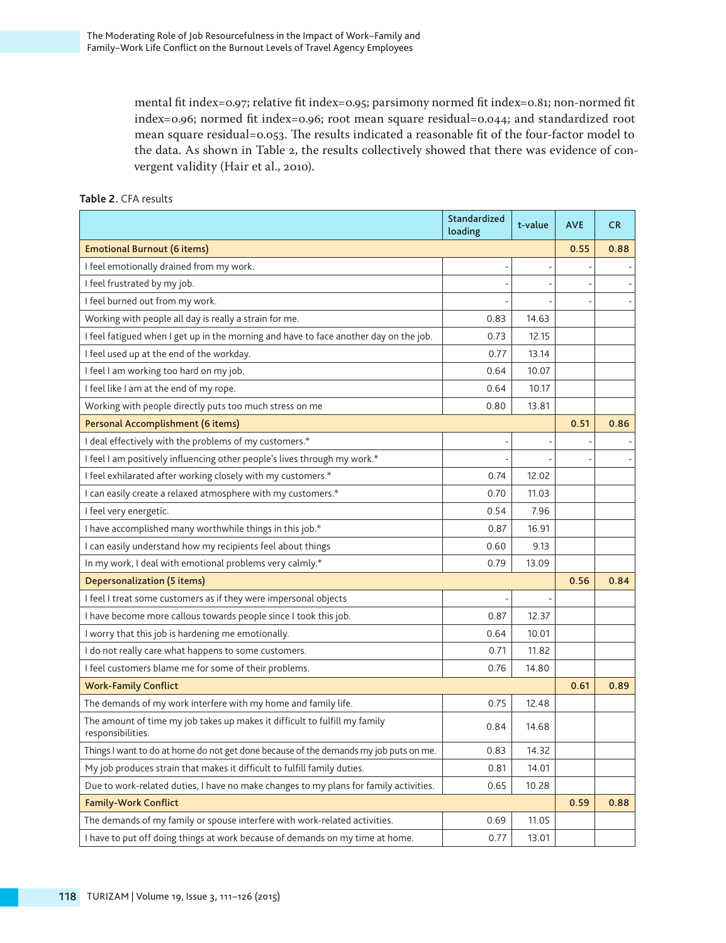mental fit index=0.97; relative fit index=0.95; parsimony normed fit index=0.81; non-normed fit index=0.96; normed fit index=0.96; root mean square residual=0.044; and standardized root mean square residual=0.053. The results indicated a reasonable fit of the four-factor model to the data. As shown in Table 2, the results collectively showed that there was evidence of convergent validity (Hair et al., 2010).

## **Table 2.** CFA results

|                                                                                                 | Standardized<br>loading | t-value | <b>AVE</b> | <b>CR</b> |
|-------------------------------------------------------------------------------------------------|-------------------------|---------|------------|-----------|
| <b>Emotional Burnout (6 items)</b>                                                              |                         |         | 0.55       | 0.88      |
| I feel emotionally drained from my work.                                                        |                         |         |            |           |
| I feel frustrated by my job.                                                                    |                         |         |            |           |
| I feel burned out from my work.                                                                 |                         |         |            |           |
| Working with people all day is really a strain for me.                                          | 0.83                    | 14.63   |            |           |
| I feel fatigued when I get up in the morning and have to face another day on the job.           | 0.73                    | 12.15   |            |           |
| I feel used up at the end of the workday.                                                       | 0.77                    | 13.14   |            |           |
| I feel I am working too hard on my job.                                                         | 0.64                    | 10.07   |            |           |
| I feel like I am at the end of my rope.                                                         | 0.64                    | 10.17   |            |           |
| Working with people directly puts too much stress on me                                         | 0.80                    | 13.81   |            |           |
| Personal Accomplishment (6 items)                                                               |                         |         | 0.51       | 0.86      |
| I deal effectively with the problems of my customers.*                                          |                         |         |            |           |
| I feel I am positively influencing other people's lives through my work.*                       |                         |         |            |           |
| I feel exhilarated after working closely with my customers.*                                    | 0.74                    | 12.02   |            |           |
| I can easily create a relaxed atmosphere with my customers.*                                    | 0.70                    | 11.03   |            |           |
| I feel very energetic.                                                                          | 0.54                    | 7.96    |            |           |
| I have accomplished many worthwhile things in this job.*                                        | 0.87                    | 16.91   |            |           |
| I can easily understand how my recipients feel about things                                     | 0.60                    | 9.13    |            |           |
| In my work, I deal with emotional problems very calmly.*                                        | 0.79                    | 13.09   |            |           |
| Depersonalization (5 items)                                                                     |                         |         | 0.56       | 0.84      |
| I feel I treat some customers as if they were impersonal objects                                |                         |         |            |           |
| I have become more callous towards people since I took this job.                                | 0.87                    | 12.37   |            |           |
| I worry that this job is hardening me emotionally.                                              | 0.64                    | 10.01   |            |           |
| I do not really care what happens to some customers.                                            | 0.71                    | 11.82   |            |           |
| I feel customers blame me for some of their problems.                                           | 0.76                    | 14.80   |            |           |
| <b>Work-Family Conflict</b>                                                                     |                         |         | 0.61       | 0.89      |
| The demands of my work interfere with my home and family life.                                  | 0.75                    | 12.48   |            |           |
| The amount of time my job takes up makes it difficult to fulfill my family<br>responsibilities. | 0.84                    | 14.68   |            |           |
| Things I want to do at home do not get done because of the demands my job puts on me.           | 0.83                    | 14.32   |            |           |
| My job produces strain that makes it difficult to fulfill family duties.                        | 0.81                    | 14.01   |            |           |
| Due to work-related duties, I have no make changes to my plans for family activities.           | 0.65                    | 10.28   |            |           |
| <b>Family-Work Conflict</b>                                                                     |                         |         | 0.59       | 0.88      |
| The demands of my family or spouse interfere with work-related activities.                      | 0.69                    | 11.05   |            |           |
| I have to put off doing things at work because of demands on my time at home.                   | 0.77                    | 13.01   |            |           |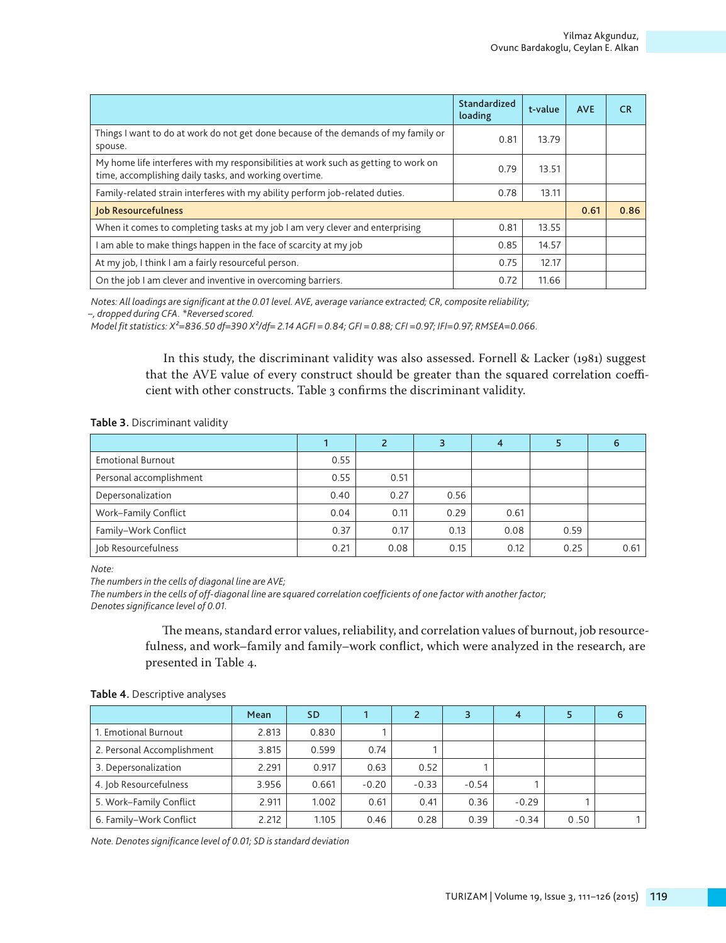|                                                                                                                                               | Standardized<br>loading | t-value | <b>AVE</b> | <b>CR</b> |  |  |  |
|-----------------------------------------------------------------------------------------------------------------------------------------------|-------------------------|---------|------------|-----------|--|--|--|
| Things I want to do at work do not get done because of the demands of my family or<br>spouse.                                                 | 0.81                    | 13.79   |            |           |  |  |  |
| My home life interferes with my responsibilities at work such as getting to work on<br>time, accomplishing daily tasks, and working overtime. | 0.79                    | 13.51   |            |           |  |  |  |
| Family-related strain interferes with my ability perform job-related duties.                                                                  | 0.78                    | 13.11   |            |           |  |  |  |
| <b>Job Resourcefulness</b>                                                                                                                    |                         |         |            |           |  |  |  |
| When it comes to completing tasks at my job I am very clever and enterprising                                                                 | 0.81                    | 13.55   |            |           |  |  |  |
| am able to make things happen in the face of scarcity at my job                                                                               | 0.85                    | 14.57   |            |           |  |  |  |
| At my job, I think I am a fairly resourceful person.                                                                                          | 0.75                    | 12.17   |            |           |  |  |  |
| On the job I am clever and inventive in overcoming barriers.                                                                                  | 0.72                    | 11.66   |            |           |  |  |  |

*Notes: All loadings are significant at the 0.01 level. AVE, average variance extracted; CR, composite reliability;* 

*–, dropped during CFA. \*Reversed scored.* 

*Model fit statistics: X²=836.50 df=390 X²/df= 2.14 AGFI = 0.84; GFI = 0.88; CFI =0.97; IFI=0.97; RMSEA=0.066.*

In this study, the discriminant validity was also assessed. Fornell & Lacker (1981) suggest that the AVE value of every construct should be greater than the squared correlation coefficient with other constructs. Table 3 confirms the discriminant validity.

**Table 3.** Discriminant validity

|                          |      |      | 3    | 4    |      | 6    |
|--------------------------|------|------|------|------|------|------|
| <b>Emotional Burnout</b> | 0.55 |      |      |      |      |      |
| Personal accomplishment  | 0.55 | 0.51 |      |      |      |      |
| Depersonalization        | 0.40 | 0.27 | 0.56 |      |      |      |
| Work-Family Conflict     | 0.04 | 0.11 | 0.29 | 0.61 |      |      |
| Family-Work Conflict     | 0.37 | 0.17 | 0.13 | 0.08 | 0.59 |      |
| Job Resourcefulness      | 0.21 | 0.08 | 0.15 | 0.12 | 0.25 | 0.61 |

*Note:* 

*The numbers in the cells of diagonal line are AVE;* 

*The numbers in the cells of off-diagonal line are squared correlation coefficients of one factor with another factor; Denotes significance level of 0.01.*

> The means, standard error values, reliability, and correlation values of burnout, job resourcefulness, and work–family and family–work conflict, which were analyzed in the research, are presented in Table 4.

**Table 4.** Descriptive analyses

|                            | Mean  | SD.   |         |         |         | 4       |      |  |
|----------------------------|-------|-------|---------|---------|---------|---------|------|--|
| 1. Emotional Burnout       | 2.813 | 0.830 |         |         |         |         |      |  |
| 2. Personal Accomplishment | 3.815 | 0.599 | 0.74    |         |         |         |      |  |
| 3. Depersonalization       | 2.291 | 0.917 | 0.63    | 0.52    |         |         |      |  |
| 4. Job Resourcefulness     | 3.956 | 0.661 | $-0.20$ | $-0.33$ | $-0.54$ |         |      |  |
| 5. Work-Family Conflict    | 2.911 | 1.002 | 0.61    | 0.41    | 0.36    | $-0.29$ |      |  |
| 6. Family-Work Conflict    | 2.212 | 1.105 | 0.46    | 0.28    | 0.39    | $-0.34$ | 0.50 |  |

*Note. Denotes significance level of 0.01; SD is standard deviation*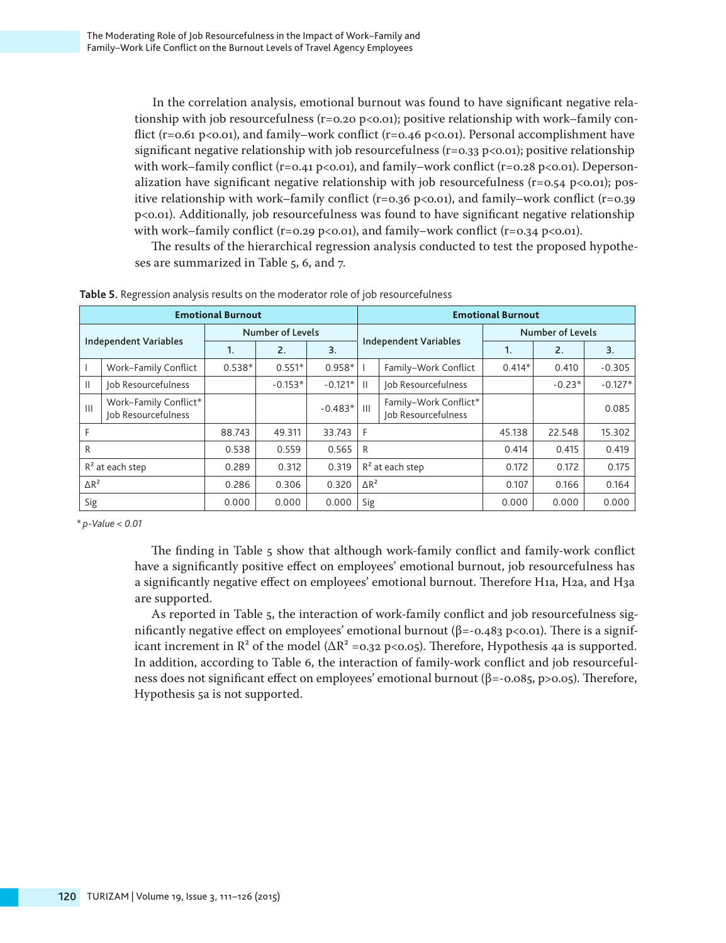In the correlation analysis, emotional burnout was found to have significant negative relationship with job resourcefulness ( $r = 0.20$  p $\langle 0.01 \rangle$ ; positive relationship with work–family conflict (r=0.61 p<0.01), and family–work conflict (r=0.46 p<0.01). Personal accomplishment have significant negative relationship with job resourcefulness ( $r=0.33$  p $<0.01$ ); positive relationship with work–family conflict (r=0.41 p<0.01), and family–work conflict (r=0.28 p<0.01). Depersonalization have significant negative relationship with job resourcefulness ( $r=0.54$  p $<0.01$ ); positive relationship with work–family conflict (r=0.36 p<0.01), and family–work conflict (r=0.39 p<0.01). Additionally, job resourcefulness was found to have significant negative relationship with work–family conflict (r=0.29 p<0.01), and family–work conflict (r=0.34 p<0.01).

The results of the hierarchical regression analysis conducted to test the proposed hypotheses are summarized in Table 5, 6, and 7.

|                              | <b>Emotional Burnout</b>                     |                |                  |           |                    | <b>Emotional Burnout</b>                     |          |                  |           |  |
|------------------------------|----------------------------------------------|----------------|------------------|-----------|--------------------|----------------------------------------------|----------|------------------|-----------|--|
| <b>Independent Variables</b> |                                              |                | Number of Levels |           |                    |                                              |          | Number of Levels |           |  |
|                              |                                              | $\mathbf{1}$ . | 2.               | 3.        |                    | <b>Independent Variables</b>                 | 1.       | 2.               | 3.        |  |
|                              | Work-Family Conflict                         | $0.538*$       | $0.551*$         | $0.958*$  |                    | Family-Work Conflict                         | $0.414*$ | 0.410            | $-0.305$  |  |
| $\mathbf{H}$                 | Job Resourcefulness                          |                | $-0.153*$        | $-0.121*$ | - 11               | Job Resourcefulness                          |          | $-0.23*$         | $-0.127*$ |  |
| $\mathbf{III}$               | Work-Family Conflict*<br>Job Resourcefulness |                |                  | $-0.483*$ | $\mathbf{H}$       | Family-Work Conflict*<br>Job Resourcefulness |          |                  | 0.085     |  |
|                              |                                              | 88.743         | 49.311           | 33.743    | F                  |                                              | 45.138   | 22.548           | 15.302    |  |
| R                            |                                              | 0.538          | 0.559            | 0.565     | R                  |                                              | 0.414    | 0.415            | 0.419     |  |
|                              | $R2$ at each step                            | 0.289          | 0.312            | 0.319     | $R^2$ at each step |                                              | 0.172    | 0.172            | 0.175     |  |
| $\Delta R^2$                 |                                              | 0.286          | 0.306            | 0.320     | $\triangle R^2$    |                                              | 0.107    | 0.166            | 0.164     |  |
| Sig                          |                                              | 0.000          | 0.000            | 0.000     | Sig                |                                              | 0.000    | 0.000            | 0.000     |  |

**Table 5.** Regression analysis results on the moderator role of job resourcefulness

*\* p-Value < 0.01*

The finding in Table 5 show that although work-family conflict and family-work conflict have a significantly positive effect on employees' emotional burnout, job resourcefulness has a significantly negative effect on employees' emotional burnout. Therefore H1a, H2a, and H3a are supported.

As reported in Table 5, the interaction of work-family conflict and job resourcefulness significantly negative effect on employees' emotional burnout (β=-0.483 p<0.01). There is a significant increment in  $\mathbb{R}^2$  of the model ( $\Delta \mathbb{R}^2$  =0.32 p<0.05). Therefore, Hypothesis 4a is supported. In addition, according to Table 6, the interaction of family-work conflict and job resourcefulness does not significant effect on employees' emotional burnout (β=-0.085, p>0.05). Therefore, Hypothesis 5a is not supported.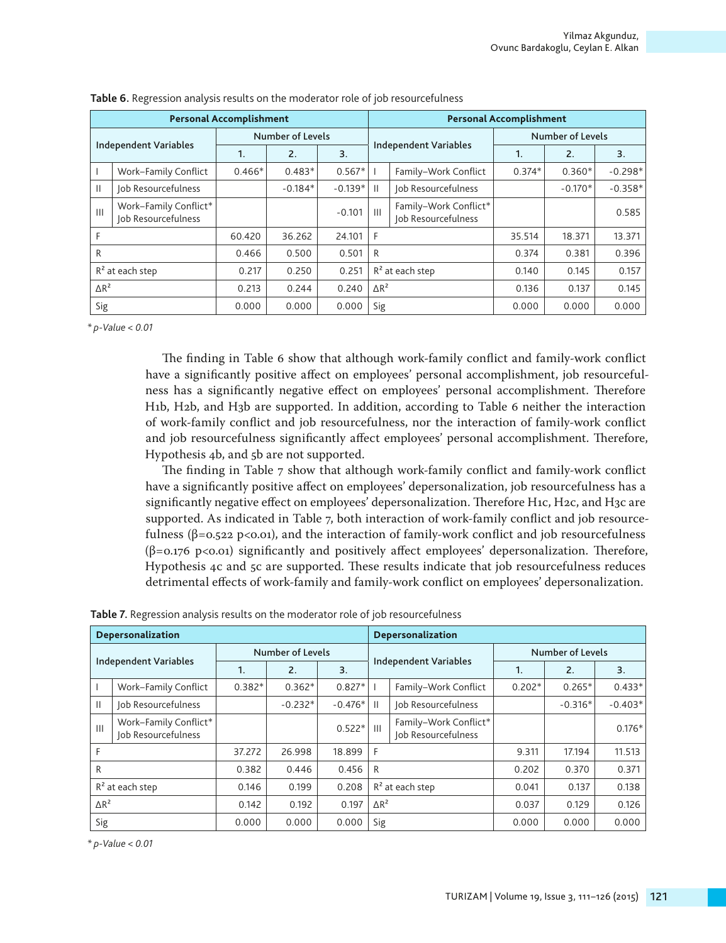|                              | <b>Personal Accomplishment</b>               |              |                  |           |                   | <b>Personal Accomplishment</b>               |              |                         |           |  |  |
|------------------------------|----------------------------------------------|--------------|------------------|-----------|-------------------|----------------------------------------------|--------------|-------------------------|-----------|--|--|
| <b>Independent Variables</b> |                                              |              | Number of Levels |           |                   |                                              |              | <b>Number of Levels</b> |           |  |  |
|                              |                                              | $\mathbf{1}$ | 2.               | 3.        |                   | <b>Independent Variables</b>                 | $\mathbf{1}$ | 2.                      | 3.        |  |  |
|                              | Work-Family Conflict                         | $0.466*$     | $0.483*$         | $0.567*$  |                   | Family-Work Conflict                         | $0.374*$     | $0.360*$                | $-0.298*$ |  |  |
| $\mathbf{H}$                 | Job Resourcefulness                          |              | $-0.184*$        | $-0.139*$ | $\mathbf{H}$      | Job Resourcefulness                          |              | $-0.170*$               | $-0.358*$ |  |  |
| $\mathbf{III}$               | Work-Family Conflict*<br>Job Resourcefulness |              |                  | $-0.101$  | $\mathbf{III}$    | Family-Work Conflict*<br>Job Resourcefulness |              |                         | 0.585     |  |  |
| F                            |                                              | 60.420       | 36.262           | 24.101    | F                 |                                              | 35.514       | 18.371                  | 13.371    |  |  |
| R                            |                                              | 0.466        | 0.500            | 0.501     | R                 |                                              | 0.374        | 0.381                   | 0.396     |  |  |
| $R2$ at each step            |                                              | 0.217        | 0.250            | 0.251     | $R2$ at each step |                                              | 0.140        | 0.145                   | 0.157     |  |  |
| $\triangle R^2$              |                                              | 0.213        | 0.244            | 0.240     | $\Delta R^2$      |                                              | 0.136        | 0.137                   | 0.145     |  |  |
| Sig                          |                                              | 0.000        | 0.000            | 0.000     | Sig               |                                              | 0.000        | 0.000                   | 0.000     |  |  |

| Table 6. Regression analysis results on the moderator role of job resourcefulness |  |  |
|-----------------------------------------------------------------------------------|--|--|
|-----------------------------------------------------------------------------------|--|--|

*\* p-Value < 0.01*

The finding in Table 6 show that although work-family conflict and family-work conflict have a significantly positive affect on employees' personal accomplishment, job resourcefulness has a significantly negative effect on employees' personal accomplishment. Therefore H1b, H2b, and H3b are supported. In addition, according to Table 6 neither the interaction of work-family conflict and job resourcefulness, nor the interaction of family-work conflict and job resourcefulness significantly affect employees' personal accomplishment. Therefore, Hypothesis 4b, and 5b are not supported.

The finding in Table 7 show that although work-family conflict and family-work conflict have a significantly positive affect on employees' depersonalization, job resourcefulness has a significantly negative effect on employees' depersonalization. Therefore H1c, H2c, and H3c are supported. As indicated in Table 7, both interaction of work-family conflict and job resourcefulness  $(\beta = 0.522 \text{ p}<0.01)$ , and the interaction of family-work conflict and job resourcefulness  $(\beta = 0.176 \text{ p} < 0.01)$  significantly and positively affect employees' depersonalization. Therefore, Hypothesis 4c and 5c are supported. These results indicate that job resourcefulness reduces detrimental effects of work-family and family-work conflict on employees' depersonalization.

|                              | Depersonalization                            |          |                  |           |                   | Depersonalization                            |          |                  |           |  |
|------------------------------|----------------------------------------------|----------|------------------|-----------|-------------------|----------------------------------------------|----------|------------------|-----------|--|
| <b>Independent Variables</b> |                                              |          | Number of Levels |           |                   |                                              |          | Number of Levels |           |  |
|                              |                                              | 1.       | 2.               | 3.        |                   | <b>Independent Variables</b>                 | 1.       | 2.               | 3.        |  |
|                              | Work-Family Conflict                         | $0.382*$ | $0.362*$         | $0.827*$  |                   | Family-Work Conflict                         | $0.202*$ | $0.265*$         | $0.433*$  |  |
| $\mathbf{H}$                 | Job Resourcefulness                          |          | $-0.232*$        | $-0.476*$ | $\mathbf{H}$      | Job Resourcefulness                          |          | $-0.316*$        | $-0.403*$ |  |
| $\mathbf{III}$               | Work-Family Conflict*<br>Job Resourcefulness |          |                  | $0.522*$  | $\mathbf{III}$    | Family-Work Conflict*<br>Job Resourcefulness |          |                  | $0.176*$  |  |
| F                            |                                              | 37.272   | 26.998           | 18.899    | F                 |                                              | 9.311    | 17.194           | 11.513    |  |
| R                            |                                              | 0.382    | 0.446            | 0.456     | R                 |                                              | 0.202    | 0.370            | 0.371     |  |
| $R^2$ at each step           |                                              | 0.146    | 0.199            | 0.208     | $R2$ at each step |                                              | 0.041    | 0.137            | 0.138     |  |
| $\Delta R^2$                 |                                              | 0.142    | 0.192            | 0.197     | $\Delta R^2$      |                                              | 0.037    | 0.129            | 0.126     |  |
| Sig                          |                                              | 0.000    | 0.000            | 0.000     | Sig               |                                              | 0.000    | 0.000            | 0.000     |  |

**Table 7.** Regression analysis results on the moderator role of job resourcefulness

*\* p-Value < 0.01*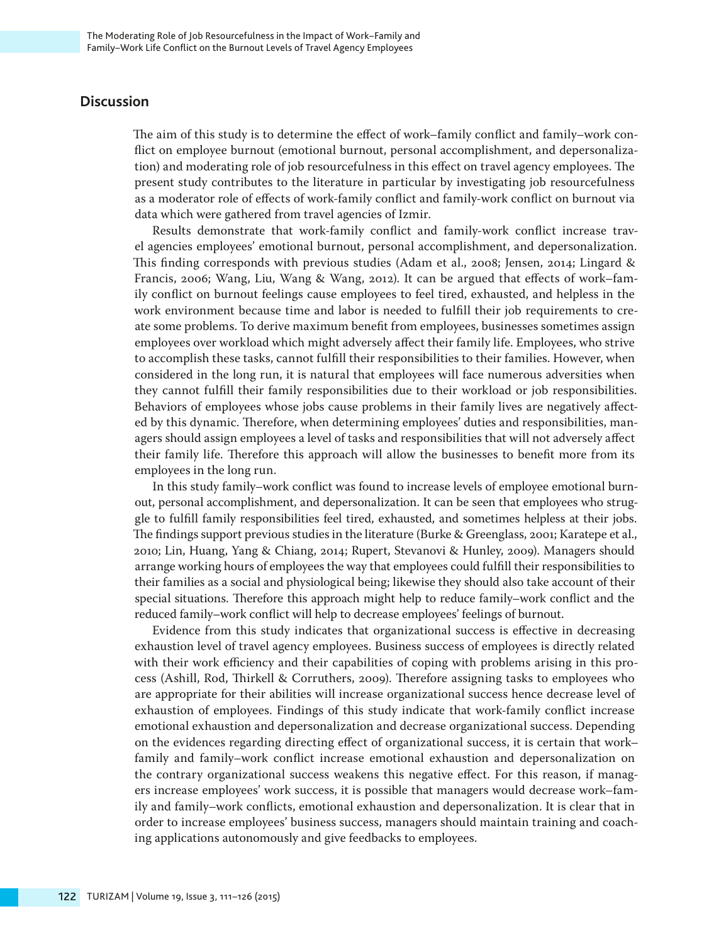# **Discussion**

The aim of this study is to determine the effect of work–family conflict and family–work conflict on employee burnout (emotional burnout, personal accomplishment, and depersonalization) and moderating role of job resourcefulness in this effect on travel agency employees. The present study contributes to the literature in particular by investigating job resourcefulness as a moderator role of effects of work-family conflict and family-work conflict on burnout via data which were gathered from travel agencies of Izmir.

Results demonstrate that work-family conflict and family-work conflict increase travel agencies employees' emotional burnout, personal accomplishment, and depersonalization. This finding corresponds with previous studies (Adam et al., 2008; Jensen, 2014; Lingard & Francis, 2006; Wang, Liu, Wang & Wang, 2012). It can be argued that effects of work–family conflict on burnout feelings cause employees to feel tired, exhausted, and helpless in the work environment because time and labor is needed to fulfill their job requirements to create some problems. To derive maximum benefit from employees, businesses sometimes assign employees over workload which might adversely affect their family life. Employees, who strive to accomplish these tasks, cannot fulfill their responsibilities to their families. However, when considered in the long run, it is natural that employees will face numerous adversities when they cannot fulfill their family responsibilities due to their workload or job responsibilities. Behaviors of employees whose jobs cause problems in their family lives are negatively affected by this dynamic. Therefore, when determining employees' duties and responsibilities, managers should assign employees a level of tasks and responsibilities that will not adversely affect their family life. Therefore this approach will allow the businesses to benefit more from its employees in the long run.

In this study family–work conflict was found to increase levels of employee emotional burnout, personal accomplishment, and depersonalization. It can be seen that employees who struggle to fulfill family responsibilities feel tired, exhausted, and sometimes helpless at their jobs. The findings support previous studies in the literature (Burke & Greenglass, 2001; Karatepe et al., 2010; Lin, Huang, Yang & Chiang, 2014; Rupert, Stevanovi & Hunley, 2009). Managers should arrange working hours of employees the way that employees could fulfill their responsibilities to their families as a social and physiological being; likewise they should also take account of their special situations. Therefore this approach might help to reduce family–work conflict and the reduced family–work conflict will help to decrease employees' feelings of burnout.

Evidence from this study indicates that organizational success is effective in decreasing exhaustion level of travel agency employees. Business success of employees is directly related with their work efficiency and their capabilities of coping with problems arising in this process (Ashill, Rod, Thirkell & Corruthers, 2009). Therefore assigning tasks to employees who are appropriate for their abilities will increase organizational success hence decrease level of exhaustion of employees. Findings of this study indicate that work-family conflict increase emotional exhaustion and depersonalization and decrease organizational success. Depending on the evidences regarding directing effect of organizational success, it is certain that work– family and family–work conflict increase emotional exhaustion and depersonalization on the contrary organizational success weakens this negative effect. For this reason, if managers increase employees' work success, it is possible that managers would decrease work–family and family–work conflicts, emotional exhaustion and depersonalization. It is clear that in order to increase employees' business success, managers should maintain training and coaching applications autonomously and give feedbacks to employees.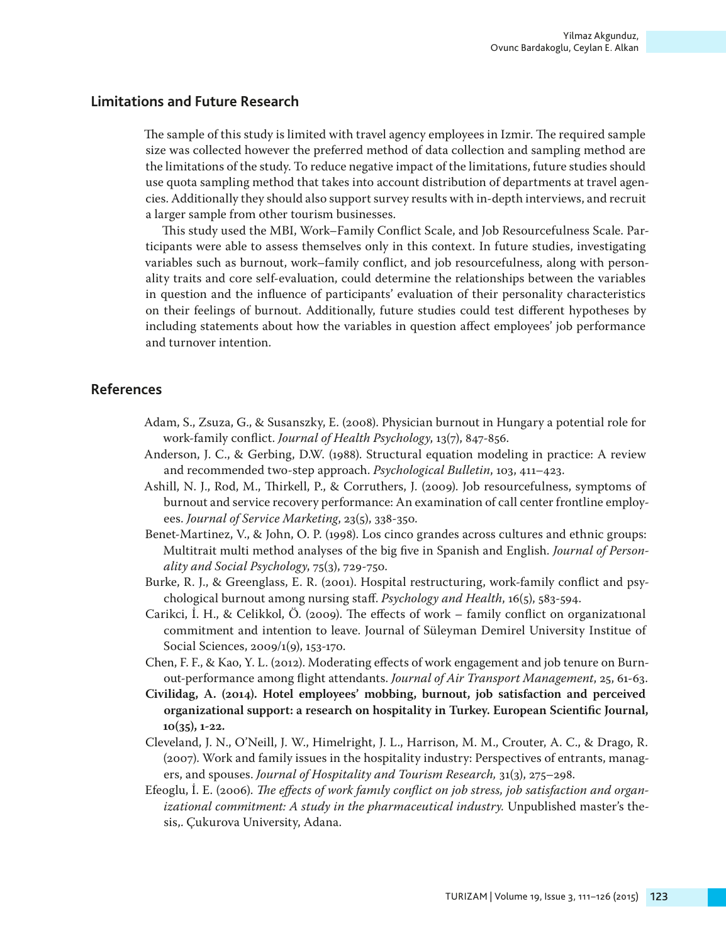# **Limitations and Future Research**

The sample of this study is limited with travel agency employees in Izmir. The required sample size was collected however the preferred method of data collection and sampling method are the limitations of the study. To reduce negative impact of the limitations, future studies should use quota sampling method that takes into account distribution of departments at travel agencies. Additionally they should also support survey results with in-depth interviews, and recruit a larger sample from other tourism businesses.

This study used the MBI, Work–Family Conflict Scale, and Job Resourcefulness Scale. Participants were able to assess themselves only in this context. In future studies, investigating variables such as burnout, work–family conflict, and job resourcefulness, along with personality traits and core self-evaluation, could determine the relationships between the variables in question and the influence of participants' evaluation of their personality characteristics on their feelings of burnout. Additionally, future studies could test different hypotheses by including statements about how the variables in question affect employees' job performance and turnover intention.

# **References**

- Adam, S., Zsuza, G., & Susanszky, E. (2008). Physician burnout in Hungary a potential role for work-family conflict. *Journal of Health Psychology*, 13(7), 847-856.
- Anderson, J. C., & Gerbing, D.W. (1988). Structural equation modeling in practice: A review and recommended two-step approach. *Psychological Bulletin*, 103, 411–423.
- Ashill, N. J., Rod, M., Thirkell, P., & Corruthers, J. (2009). Job resourcefulness, symptoms of burnout and service recovery performance: An examination of call center frontline employees. *Journal of Service Marketing*, 23(5), 338-350.
- Benet-Martinez, V., & John, O. P. (1998). Los cinco grandes across cultures and ethnic groups: Multitrait multi method analyses of the big five in Spanish and English. *Journal of Personality and Social Psychology*, 75(3), 729-750.
- Burke, R. J., & Greenglass, E. R. (2001). Hospital restructuring, work-family conflict and psychological burnout among nursing staff. *Psychology and Health*, 16(5), 583-594.
- Carikci, İ. H., & Celikkol, Ö. (2009). The effects of work family conflict on organizatıonal commitment and intention to leave. Journal of Süleyman Demirel University Institue of Social Sciences, 2009/1(9), 153-170.
- Chen, F. F., & Kao, Y. L. (2012). Moderating effects of work engagement and job tenure on Burnout-performance among flight attendants. *Journal of Air Transport Management*, 25, 61-63.
- **Civilidag, A. (2014). Hotel employees' mobbing, burnout, job satisfaction and perceived organizational support: a research on hospitality in Turkey. European Scientific Journal, 10(35), 1-22.**
- Cleveland, J. N., O'Neill, J. W., Himelright, J. L., Harrison, M. M., Crouter, A. C., & Drago, R. (2007). Work and family issues in the hospitality industry: Perspectives of entrants, managers, and spouses. *Journal of Hospitality and Tourism Research,* 31(3), 275–298.
- Efeoglu, İ. E. (2006). *The effects of work famıly conflict on job stress, job satisfaction and organ*izational commitment: A study in the pharmaceutical industry. Unpublished master's thesis,. Çukurova University, Adana.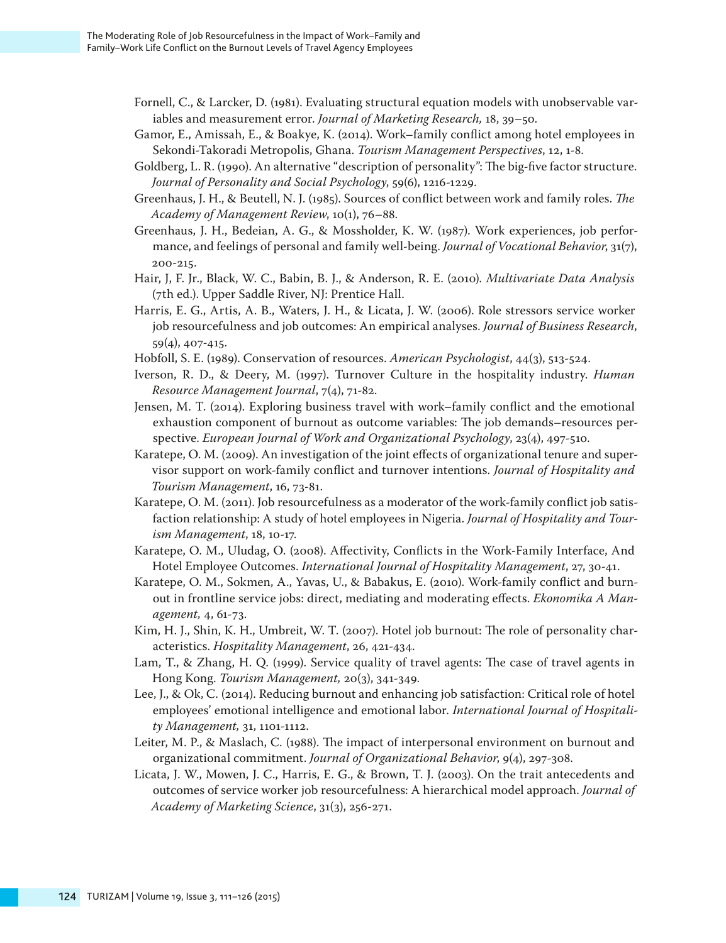- Fornell, C., & Larcker, D. (1981). Evaluating structural equation models with unobservable variables and measurement error. *Journal of Marketing Research,* 18, 39–50.
- Gamor, E., Amissah, E., & Boakye, K. (2014). Work–family conflict among hotel employees in Sekondi-Takoradi Metropolis, Ghana. *Tourism Management Perspectives*, 12, 1-8.
- Goldberg, L. R. (1990). An alternative "description of personality": The big-five factor structure. *Journal of Personality and Social Psychology*, 59(6), 1216-1229.
- Greenhaus, J. H., & Beutell, N. J. (1985). Sources of conflict between work and family roles. *The Academy of Management Review*, 10(1), 76–88.
- Greenhaus, J. H., Bedeian, A. G., & Mossholder, K. W. (1987). Work experiences, job performance, and feelings of personal and family well-being. *Journal of Vocational Behavior*, 31(7), 200-215.
- Hair, J, F. Jr., Black, W. C., Babin, B. J., & Anderson, R. E. (2010)*. Multivariate Data Analysis* (7th ed.). Upper Saddle River, NJ: Prentice Hall.
- Harris, E. G., Artis, A. B., Waters, J. H., & Licata, J. W. (2006). Role stressors service worker job resourcefulness and job outcomes: An empirical analyses. *Journal of Business Research*, 59(4), 407-415.
- Hobfoll, S. E. (1989). Conservation of resources. *American Psychologist*, 44(3), 513-524.
- Iverson, R. D., & Deery, M. (1997). Turnover Culture in the hospitality industry. *Human Resource Management Journal*, 7(4), 71-82.
- Jensen, M. T. (2014). Exploring business travel with work–family conflict and the emotional exhaustion component of burnout as outcome variables: The job demands–resources perspective. *European Journal of Work and Organizational Psychology*, 23(4), 497-510.
- Karatepe, O. M. (2009). An investigation of the joint effects of organizational tenure and supervisor support on work-family conflict and turnover intentions. *Journal of Hospitality and Tourism Management*, 16, 73-81.
- Karatepe, O. M. (2011). Job resourcefulness as a moderator of the work-family conflict job satisfaction relationship: A study of hotel employees in Nigeria. *Journal of Hospitality and Tourism Management*, 18, 10-17.
- Karatepe, O. M., Uludag, O. (2008). Affectivity, Conflicts in the Work-Family Interface, And Hotel Employee Outcomes. *International Journal of Hospitality Management*, 27, 30-41.
- Karatepe, O. M., Sokmen, A., Yavas, U., & Babakus, E. (2010). Work-family conflict and burnout in frontline service jobs: direct, mediating and moderating effects. *Ekonomika A Management,* 4, 61-73.
- Kim, H. J., Shin, K. H., Umbreit, W. T. (2007). Hotel job burnout: The role of personality characteristics. *Hospitality Management*, 26, 421-434.
- Lam, T., & Zhang, H. Q. (1999). Service quality of travel agents: The case of travel agents in Hong Kong. *Tourism Management,* 20(3), 341-349.
- Lee, J., & Ok, C. (2014). Reducing burnout and enhancing job satisfaction: Critical role of hotel employees' emotional intelligence and emotional labor. *International Journal of Hospitality Management,* 31, 1101-1112.
- Leiter, M. P., & Maslach, C. (1988). The impact of interpersonal environment on burnout and organizational commitment. *Journal of Organizational Behavior*, 9(4), 297-308.
- Licata, J. W., Mowen, J. C., Harris, E. G., & Brown, T. J. (2003). On the trait antecedents and outcomes of service worker job resourcefulness: A hierarchical model approach. *Journal of Academy of Marketing Science*, 31(3), 256-271.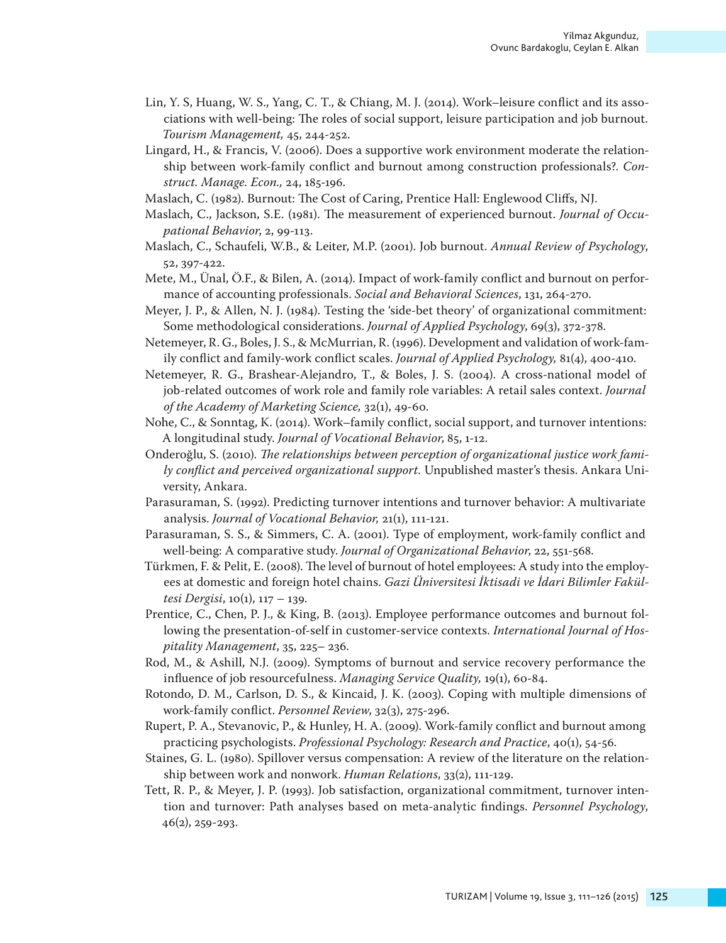- Lin, Y. S, Huang, W. S., Yang, C. T., & Chiang, M. J. (2014). Work–leisure conflict and its associations with well-being: The roles of social support, leisure participation and job burnout. *Tourism Management,* 45, 244-252.
- Lingard, H., & Francis, V. (2006). Does a supportive work environment moderate the relationship between work-family conflict and burnout among construction professionals?. *Construct. Manage. Econ.,* 24, 185-196.
- Maslach, C. (1982). Burnout: The Cost of Caring, Prentice Hall: Englewood Cliffs, NJ.
- Maslach, C., Jackson, S.E. (1981). The measurement of experienced burnout. *Journal of Occupational Behavior*, 2, 99-113.
- Maslach, C., Schaufeli, W.B., & Leiter, M.P. (2001). Job burnout. *Annual Review of Psychology*, 52, 397-422.
- Mete, M., Ünal, Ö.F., & Bilen, A. (2014). Impact of work-family conflict and burnout on performance of accounting professionals. *Social and Behavioral Sciences*, 131, 264-270.
- Meyer, J. P., & Allen, N. J. (1984). Testing the 'side-bet theory' of organizational commitment: Some methodological considerations. *Journal of Applied Psychology*, 69(3), 372-378.
- Netemeyer, R. G., Boles, J. S., & McMurrian, R. (1996). Development and validation of work-family conflict and family-work conflict scales. *Journal of Applied Psychology,* 81(4), 400-410.
- Netemeyer, R. G., Brashear-Alejandro, T., & Boles, J. S. (2004). A cross-national model of job-related outcomes of work role and family role variables: A retail sales context. *Journal of the Academy of Marketing Science,* 32(1), 49-60.
- Nohe, C., & Sonntag, K. (2014). Work–family conflict, social support, and turnover intentions: A longitudinal study. *Journal of Vocational Behavior*, 85, 1-12.
- Onderoğlu, S. (2010). *The relationships between perception of organizational justice work family conflict and perceived organizational support.* Unpublished master's thesis. Ankara University, Ankara.
- Parasuraman, S. (1992). Predicting turnover intentions and turnover behavior: A multivariate analysis. *Journal of Vocational Behavior,* 21(1), 111-121.
- Parasuraman, S. S., & Simmers, C. A. (2001). Type of employment, work-family conflict and well-being: A comparative study. *Journal of Organizational Behavior*, 22, 551-568.
- Türkmen, F. & Pelit, E. (2008). The level of burnout of hotel employees: A study into the employees at domestic and foreign hotel chains. *Gazi Üniversitesi İktisadi ve İdari Bilimler Fakültesi Dergisi*, 10(1), 117 – 139.
- Prentice, C., Chen, P. J., & King, B. (2013). Employee performance outcomes and burnout following the presentation-of-self in customer-service contexts. *International Journal of Hospitality Management*, 35, 225– 236.
- Rod, M., & Ashill, N.J. (2009). Symptoms of burnout and service recovery performance the influence of job resourcefulness. *Managing Service Quality,* 19(1), 60-84.
- Rotondo, D. M., Carlson, D. S., & Kincaid, J. K. (2003). Coping with multiple dimensions of work-family conflict. *Personnel Review*, 32(3), 275-296.
- Rupert, P. A., Stevanovic, P., & Hunley, H. A. (2009). Work-family conflict and burnout among practicing psychologists. *Professional Psychology: Research and Practice*, 40(1), 54-56.
- Staines, G. L. (1980). Spillover versus compensation: A review of the literature on the relationship between work and nonwork. *Human Relations*, 33(2), 111-129.
- Tett, R. P., & Meyer, J. P. (1993). Job satisfaction, organizational commitment, turnover intention and turnover: Path analyses based on meta-analytic findings. *Personnel Psychology*, 46(2), 259-293.